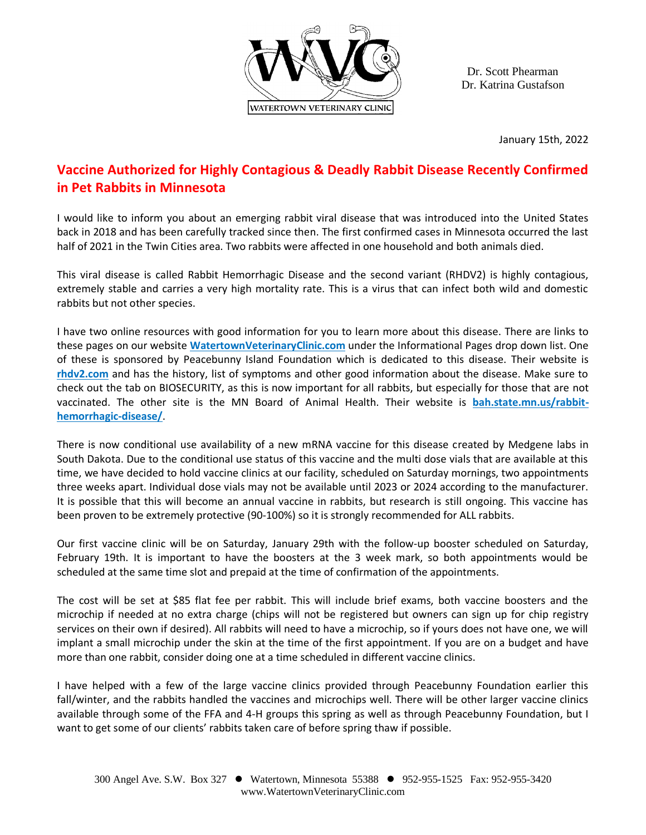

Dr. Scott Phearman Dr. Katrina Gustafson

January 15th, 2022

## **Vaccine Authorized for Highly Contagious & Deadly Rabbit Disease Recently Confirmed in Pet Rabbits in Minnesota**

I would like to inform you about an emerging rabbit viral disease that was introduced into the United States back in 2018 and has been carefully tracked since then. The first confirmed cases in Minnesota occurred the last half of 2021 in the Twin Cities area. Two rabbits were affected in one household and both animals died.

This viral disease is called Rabbit Hemorrhagic Disease and the second variant (RHDV2) is highly contagious, extremely stable and carries a very high mortality rate. This is a virus that can infect both wild and domestic rabbits but not other species.

I have two online resources with good information for you to learn more about this disease. There are links to these pages on our website **WatertownVeterinaryClinic.com** under the Informational Pages drop down list. One of these is sponsored by Peacebunny Island Foundation which is dedicated to this disease. Their website is **rhdv2.com** and has the history, list of symptoms and other good information about the disease. Make sure to check out the tab on BIOSECURITY, as this is now important for all rabbits, but especially for those that are not vaccinated. The other site is the MN Board of Animal Health. Their website is **bah.state.mn.us/rabbithemorrhagic-disease/**.

There is now conditional use availability of a new mRNA vaccine for this disease created by Medgene labs in South Dakota. Due to the conditional use status of this vaccine and the multi dose vials that are available at this time, we have decided to hold vaccine clinics at our facility, scheduled on Saturday mornings, two appointments three weeks apart. Individual dose vials may not be available until 2023 or 2024 according to the manufacturer. It is possible that this will become an annual vaccine in rabbits, but research is still ongoing. This vaccine has been proven to be extremely protective (90-100%) so it is strongly recommended for ALL rabbits.

Our first vaccine clinic will be on Saturday, January 29th with the follow-up booster scheduled on Saturday, February 19th. It is important to have the boosters at the 3 week mark, so both appointments would be scheduled at the same time slot and prepaid at the time of confirmation of the appointments.

The cost will be set at \$85 flat fee per rabbit. This will include brief exams, both vaccine boosters and the microchip if needed at no extra charge (chips will not be registered but owners can sign up for chip registry services on their own if desired). All rabbits will need to have a microchip, so if yours does not have one, we will implant a small microchip under the skin at the time of the first appointment. If you are on a budget and have more than one rabbit, consider doing one at a time scheduled in different vaccine clinics.

I have helped with a few of the large vaccine clinics provided through Peacebunny Foundation earlier this fall/winter, and the rabbits handled the vaccines and microchips well. There will be other larger vaccine clinics available through some of the FFA and 4-H groups this spring as well as through Peacebunny Foundation, but I want to get some of our clients' rabbits taken care of before spring thaw if possible.